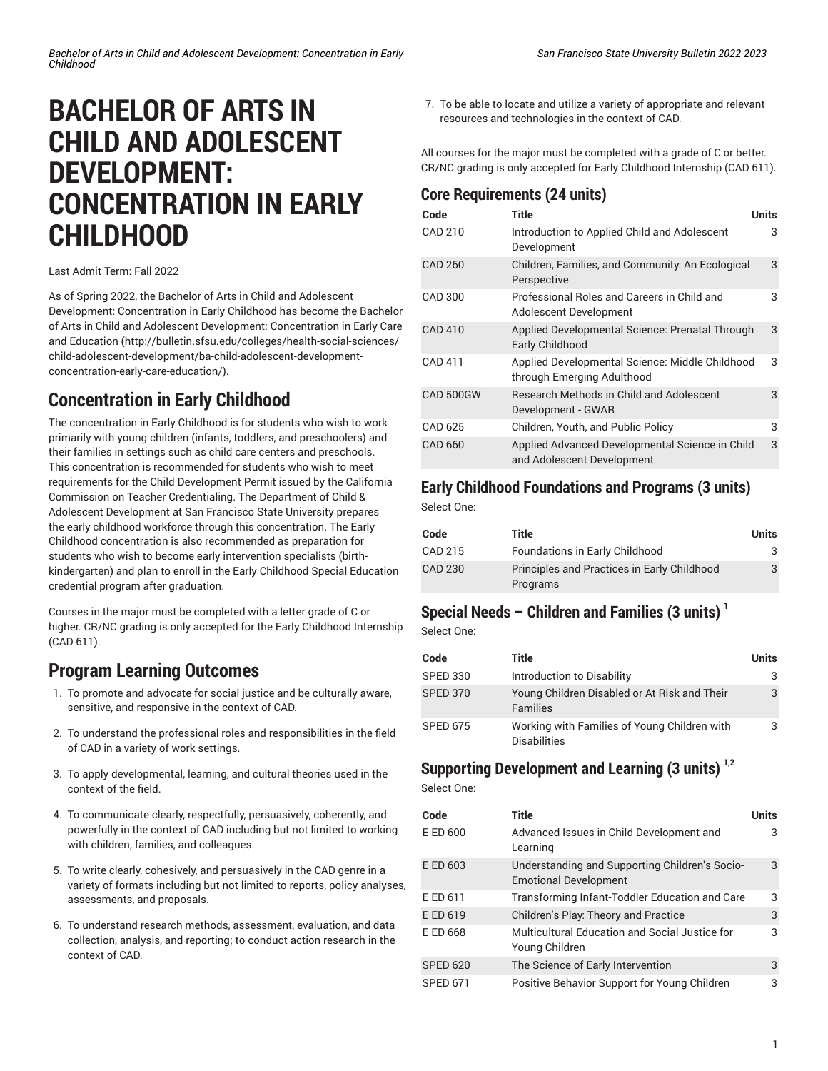# **BACHELOR OF ARTS IN CHILD AND ADOLESCENT DEVELOPMENT: CONCENTRATION IN EARLY CHILDHOOD**

Last Admit Term: Fall 2022

As of Spring 2022, the Bachelor of Arts in Child and Adolescent Development: Concentration in Early Childhood has become the [Bachelor](http://bulletin.sfsu.edu/colleges/health-social-sciences/child-adolescent-development/ba-child-adolescent-development-concentration-early-care-education/) of Arts in Child and Adolescent Development: [Concentration](http://bulletin.sfsu.edu/colleges/health-social-sciences/child-adolescent-development/ba-child-adolescent-development-concentration-early-care-education/) in Early Care and [Education \(http://bulletin.sfsu.edu/colleges/health-social-sciences/](http://bulletin.sfsu.edu/colleges/health-social-sciences/child-adolescent-development/ba-child-adolescent-development-concentration-early-care-education/) [child-adolescent-development/ba-child-adolescent-development](http://bulletin.sfsu.edu/colleges/health-social-sciences/child-adolescent-development/ba-child-adolescent-development-concentration-early-care-education/)[concentration-early-care-education/\)](http://bulletin.sfsu.edu/colleges/health-social-sciences/child-adolescent-development/ba-child-adolescent-development-concentration-early-care-education/).

# **Concentration in Early Childhood**

The concentration in Early Childhood is for students who wish to work primarily with young children (infants, toddlers, and preschoolers) and their families in settings such as child care centers and preschools. This concentration is recommended for students who wish to meet requirements for the Child Development Permit issued by the California Commission on Teacher Credentialing. The Department of Child & Adolescent Development at San Francisco State University prepares the early childhood workforce through this concentration. The Early Childhood concentration is also recommended as preparation for students who wish to become early intervention specialists (birthkindergarten) and plan to enroll in the Early Childhood Special Education credential program after graduation.

Courses in the major must be completed with a letter grade of C or higher. CR/NC grading is only accepted for the Early Childhood Internship (CAD 611).

# **Program Learning Outcomes**

- 1. To promote and advocate for social justice and be culturally aware, sensitive, and responsive in the context of CAD.
- 2. To understand the professional roles and responsibilities in the field of CAD in a variety of work settings.
- 3. To apply developmental, learning, and cultural theories used in the context of the field.
- 4. To communicate clearly, respectfully, persuasively, coherently, and powerfully in the context of CAD including but not limited to working with children, families, and colleagues.
- 5. To write clearly, cohesively, and persuasively in the CAD genre in a variety of formats including but not limited to reports, policy analyses, assessments, and proposals.
- 6. To understand research methods, assessment, evaluation, and data collection, analysis, and reporting; to conduct action research in the context of CAD.

7. To be able to locate and utilize a variety of appropriate and relevant resources and technologies in the context of CAD.

All courses for the major must be completed with a grade of C or better. CR/NC grading is only accepted for Early Childhood Internship (CAD 611).

#### **Core Requirements (24 units)**

| Code           | Title                                                                         | <b>Units</b> |
|----------------|-------------------------------------------------------------------------------|--------------|
| <b>CAD 210</b> | Introduction to Applied Child and Adolescent<br>Development                   | 3            |
| CAD 260        | Children, Families, and Community: An Ecological<br>Perspective               | 3            |
| <b>CAD 300</b> | Professional Roles and Careers in Child and<br>Adolescent Development         | 3            |
| <b>CAD 410</b> | Applied Developmental Science: Prenatal Through<br>Early Childhood            | 3            |
| <b>CAD 411</b> | Applied Developmental Science: Middle Childhood<br>through Emerging Adulthood | 3            |
| CAD 500GW      | <b>Research Methods in Child and Adolescent</b><br>Development - GWAR         | 3            |
| CAD 625        | Children, Youth, and Public Policy                                            | 3            |
| <b>CAD 660</b> | Applied Advanced Developmental Science in Child<br>and Adolescent Development | 3            |

#### **Early Childhood Foundations and Programs (3 units)**

Select One:

| Code           | Title                                                   | Units |
|----------------|---------------------------------------------------------|-------|
| CAD 215        | Foundations in Early Childhood                          | 3     |
| <b>CAD 230</b> | Principles and Practices in Early Childhood<br>Programs | 3     |

### **Special Needs – Children and Families (3 units) 1**

Select One:

| Code            | Title                                                               | <b>Units</b> |
|-----------------|---------------------------------------------------------------------|--------------|
| <b>SPED 330</b> | Introduction to Disability                                          | 3            |
| <b>SPED 370</b> | Young Children Disabled or At Risk and Their<br><b>Families</b>     | 3            |
| <b>SPED 675</b> | Working with Families of Young Children with<br><b>Disabilities</b> | 3            |

### **Supporting Development and Learning (3 units) 1,2**

Select One:

| Code            | Title                                                                          | Units |
|-----------------|--------------------------------------------------------------------------------|-------|
| E ED 600        | Advanced Issues in Child Development and<br>Learning                           | З     |
| E ED 603        | Understanding and Supporting Children's Socio-<br><b>Emotional Development</b> | 3     |
| E ED 611        | Transforming Infant-Toddler Education and Care                                 | 3     |
| E ED 619        | Children's Play: Theory and Practice                                           | 3     |
| E ED 668        | Multicultural Education and Social Justice for<br>Young Children               | 3     |
| <b>SPED 620</b> | The Science of Early Intervention                                              | 3     |
| <b>SPED 671</b> | Positive Behavior Support for Young Children                                   | 3     |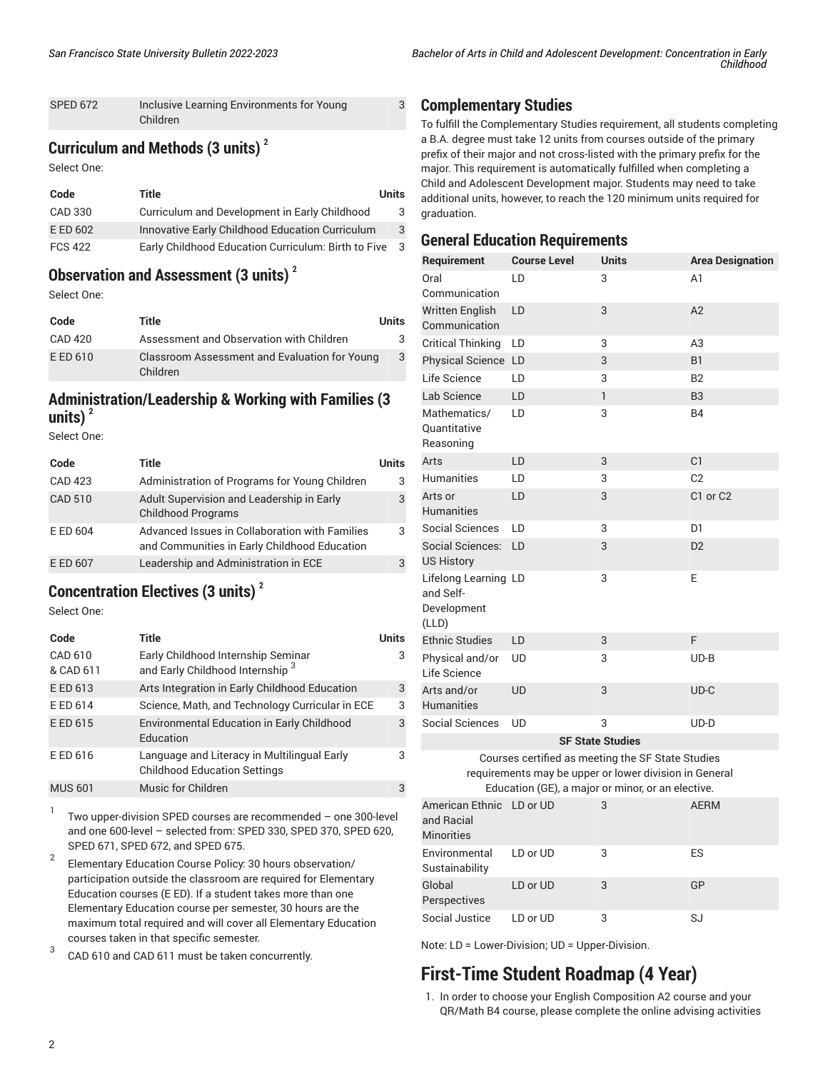| <b>SPED 672</b> | Inclusive Learning Environments for Young |
|-----------------|-------------------------------------------|
|                 | Children                                  |

### **Curriculum and Methods (3 units) <sup>2</sup>**

Select One:

| Code           | Title                                               | Units |
|----------------|-----------------------------------------------------|-------|
| CAD 330        | Curriculum and Development in Early Childhood       | 3     |
| E ED 602       | Innovative Early Childhood Education Curriculum     | 3     |
| <b>FCS 422</b> | Early Childhood Education Curriculum: Birth to Five | -3    |

### **Observation and Assessment (3 units) 2**

Select One:

| Code     | Title                                                     | Units |
|----------|-----------------------------------------------------------|-------|
| CAD 420  | Assessment and Observation with Children                  | 3     |
| E ED 610 | Classroom Assessment and Evaluation for Young<br>Children | 3     |

#### **Administration/Leadership & Working with Families (3**  $units)$ <sup>2</sup>

Select One:

| Code           | Title                                                                                          | Units |
|----------------|------------------------------------------------------------------------------------------------|-------|
| <b>CAD 423</b> | Administration of Programs for Young Children                                                  | 3     |
| <b>CAD 510</b> | Adult Supervision and Leadership in Early<br><b>Childhood Programs</b>                         | 3     |
| E ED 604       | Advanced Issues in Collaboration with Families<br>and Communities in Early Childhood Education | 3     |
| E ED 607       | Leadership and Administration in ECE                                                           | 3     |

### **Concentration Electives (3 units) 2**

Select One:

| Code                 | Title                                                                              | Units |
|----------------------|------------------------------------------------------------------------------------|-------|
| CAD 610<br>& CAD 611 | Early Childhood Internship Seminar<br>and Early Childhood Internship <sup>3</sup>  | 3     |
| E ED 613             | Arts Integration in Early Childhood Education                                      | 3     |
| E ED 614             | Science, Math, and Technology Curricular in ECE                                    | 3     |
| E ED 615             | <b>Environmental Education in Early Childhood</b><br>Education                     | 3     |
| E ED 616             | Language and Literacy in Multilingual Early<br><b>Childhood Education Settings</b> | 3     |
| <b>MUS 601</b>       | Music for Children                                                                 | 3     |

1 Two upper-division SPED courses are recommended – one 300-level and one 600-level – selected from: SPED 330, SPED 370, SPED 620, SPED 671, SPED 672, and SPED 675.

- 2 Elementary Education Course Policy: 30 hours observation/ participation outside the classroom are required for Elementary Education courses (E ED). If a student takes more than one Elementary Education course per semester, 30 hours are the maximum total required and will cover all Elementary Education courses taken in that specific semester.
- 3 CAD 610 and CAD 611 must be taken concurrently.

#### **Complementary Studies**

3

To fulfill the Complementary Studies requirement, all students completing a B.A. degree must take 12 units from courses outside of the primary prefix of their major and not cross-listed with the primary prefix for the major. This requirement is automatically fulfilled when completing a Child and Adolescent Development major. Students may need to take additional units, however, to reach the 120 minimum units required for graduation.

#### **General Education Requirements**

| Requirement                                               | <b>Course Level</b>                                                                                                                                              | <b>Units</b>            | <b>Area Designation</b> |
|-----------------------------------------------------------|------------------------------------------------------------------------------------------------------------------------------------------------------------------|-------------------------|-------------------------|
| Oral<br>Communication                                     | LD                                                                                                                                                               | 3                       | A1                      |
| Written English<br>Communication                          | LD                                                                                                                                                               | 3                       | A2                      |
| <b>Critical Thinking</b>                                  | LD                                                                                                                                                               | 3                       | A3                      |
| <b>Physical Science</b>                                   | LD                                                                                                                                                               | 3                       | B1                      |
| Life Science                                              | LD                                                                                                                                                               | 3                       | B <sub>2</sub>          |
| Lab Science                                               | LD                                                                                                                                                               | $\mathbf{1}$            | B <sub>3</sub>          |
| Mathematics/<br>Quantitative<br>Reasoning                 | ID.                                                                                                                                                              | 3                       | <b>B4</b>               |
| Arts                                                      | LD                                                                                                                                                               | 3                       | C <sub>1</sub>          |
| <b>Humanities</b>                                         | ID.                                                                                                                                                              | 3                       | C <sub>2</sub>          |
| Arts or<br><b>Humanities</b>                              | LD                                                                                                                                                               | 3                       | C1 or C2                |
| Social Sciences                                           | LD                                                                                                                                                               | 3                       | D1                      |
| Social Sciences:<br><b>US History</b>                     | LD                                                                                                                                                               | 3                       | D <sub>2</sub>          |
| Lifelong Learning LD<br>and Self-<br>Development<br>(LLD) |                                                                                                                                                                  | 3                       | E                       |
| <b>Ethnic Studies</b>                                     | LD                                                                                                                                                               | 3                       | F                       |
| Physical and/or<br>Life Science                           | UD                                                                                                                                                               | 3                       | $UD-B$                  |
| Arts and/or<br><b>Humanities</b>                          | <b>UD</b>                                                                                                                                                        | 3                       | UD-C                    |
| <b>Social Sciences</b>                                    | UD                                                                                                                                                               | 3                       | $UD-D$                  |
|                                                           |                                                                                                                                                                  | <b>SF State Studies</b> |                         |
|                                                           | Courses certified as meeting the SF State Studies<br>requirements may be upper or lower division in General<br>Education (GE), a major or minor, or an elective. |                         |                         |
| <b>American Ethnic</b><br>and Racial<br><b>Minorities</b> | LD or UD                                                                                                                                                         | 3                       | <b>AERM</b>             |
| Environmental<br>Sustainability                           | LD or UD                                                                                                                                                         | 3                       | ES                      |
| Global<br>Perspectives                                    | LD or UD                                                                                                                                                         | 3                       | GP                      |
| Social Justice                                            | LD or UD                                                                                                                                                         | 3                       | SJ                      |

Note: LD = Lower-Division; UD = Upper-Division.

# **First-Time Student Roadmap (4 Year)**

1. In order to choose your English Composition A2 course and your QR/Math B4 course, please complete the online advising activities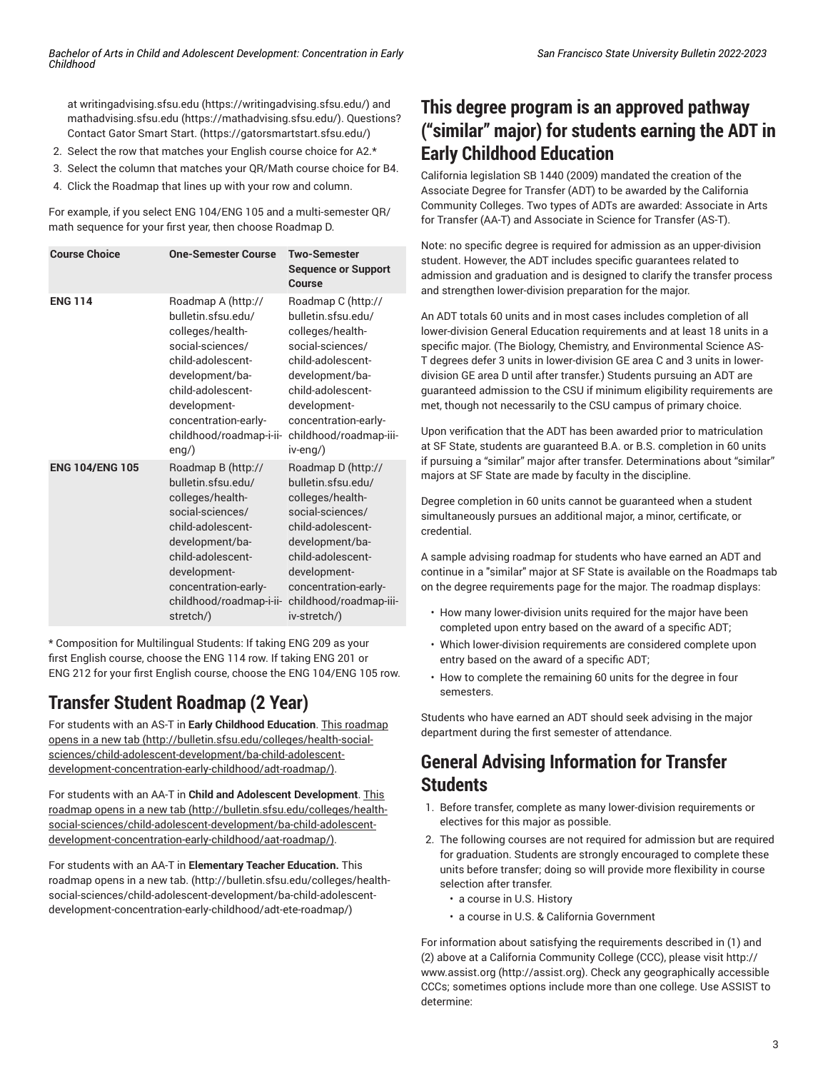at [writingadvising.sfsu.edu](https://writingadvising.sfsu.edu/) ([https://writingadvising.sfsu.edu/\)](https://writingadvising.sfsu.edu/) and [mathadvising.sfsu.edu](https://mathadvising.sfsu.edu/) ([https://mathadvising.sfsu.edu/\)](https://mathadvising.sfsu.edu/). Questions? Contact Gator [Smart](https://gatorsmartstart.sfsu.edu/) Start. ([https://gatorsmartstart.sfsu.edu/\)](https://gatorsmartstart.sfsu.edu/)

- 2. Select the row that matches your English course choice for A2.\*
- 3. Select the column that matches your QR/Math course choice for B4.
- 4. Click the Roadmap that lines up with your row and column.

For example, if you select ENG 104/ENG 105 and a multi-semester QR/ math sequence for your first year, then choose Roadmap D.

| <b>Course Choice</b>   | <b>One-Semester Course</b>                                                                                                                                                                                                    | <b>Two-Semester</b><br><b>Sequence or Support</b><br>Course                                                                                                                                                                          |
|------------------------|-------------------------------------------------------------------------------------------------------------------------------------------------------------------------------------------------------------------------------|--------------------------------------------------------------------------------------------------------------------------------------------------------------------------------------------------------------------------------------|
| <b>ENG 114</b>         | Roadmap A (http://<br>bulletin.sfsu.edu/<br>colleges/health-<br>social-sciences/<br>child-adolescent-<br>development/ba-<br>child-adolescent-<br>development-<br>concentration-early-<br>childhood/roadmap-i-ii-<br>$eng$ )   | Roadmap C (http://<br>bulletin.sfsu.edu/<br>colleges/health-<br>social-sciences/<br>child-adolescent-<br>development/ba-<br>child-adolescent-<br>development-<br>concentration-early-<br>childhood/roadmap-iii-<br>$iv$ -eng $\land$ |
| <b>ENG 104/ENG 105</b> | Roadmap B (http://<br>bulletin.sfsu.edu/<br>colleges/health-<br>social-sciences/<br>child-adolescent-<br>development/ba-<br>child-adolescent-<br>development-<br>concentration-early-<br>childhood/roadmap-i-ii-<br>stretch/) | Roadmap D (http://<br>bulletin.sfsu.edu/<br>colleges/health-<br>social-sciences/<br>child-adolescent-<br>development/ba-<br>child-adolescent-<br>development-<br>concentration-early-<br>childhood/roadmap-iii-<br>iv-stretch/)      |

\* Composition for Multilingual Students: If taking ENG 209 as your first English course, choose the ENG 114 row. If taking ENG 201 or ENG 212 for your first English course, choose the ENG 104/ENG 105 row.

# **Transfer Student Roadmap (2 Year)**

For students with an AS-T in **Early Childhood Education**. This [roadmap](http://bulletin.sfsu.edu/colleges/health-social-sciences/child-adolescent-development/ba-child-adolescent-development-concentration-early-childhood/adt-roadmap/) [opens in a new tab](http://bulletin.sfsu.edu/colleges/health-social-sciences/child-adolescent-development/ba-child-adolescent-development-concentration-early-childhood/adt-roadmap/) [\(http://bulletin.sfsu.edu/colleges/health-social](http://bulletin.sfsu.edu/colleges/health-social-sciences/child-adolescent-development/ba-child-adolescent-development-concentration-early-childhood/adt-roadmap/)[sciences/child-adolescent-development/ba-child-adolescent](http://bulletin.sfsu.edu/colleges/health-social-sciences/child-adolescent-development/ba-child-adolescent-development-concentration-early-childhood/adt-roadmap/)[development-concentration-early-childhood/adt-roadmap/\)](http://bulletin.sfsu.edu/colleges/health-social-sciences/child-adolescent-development/ba-child-adolescent-development-concentration-early-childhood/adt-roadmap/).

For students with an AA-T in **Child and Adolescent Development**. [This](http://bulletin.sfsu.edu/colleges/health-social-sciences/child-adolescent-development/ba-child-adolescent-development-concentration-early-childhood/aat-roadmap/) [roadmap](http://bulletin.sfsu.edu/colleges/health-social-sciences/child-adolescent-development/ba-child-adolescent-development-concentration-early-childhood/aat-roadmap/) opens in a new tab [\(http://bulletin.sfsu.edu/colleges/health](http://bulletin.sfsu.edu/colleges/health-social-sciences/child-adolescent-development/ba-child-adolescent-development-concentration-early-childhood/aat-roadmap/)[social-sciences/child-adolescent-development/ba-child-adolescent](http://bulletin.sfsu.edu/colleges/health-social-sciences/child-adolescent-development/ba-child-adolescent-development-concentration-early-childhood/aat-roadmap/)[development-concentration-early-childhood/aat-roadmap/](http://bulletin.sfsu.edu/colleges/health-social-sciences/child-adolescent-development/ba-child-adolescent-development-concentration-early-childhood/aat-roadmap/)).

For students with an AA-T in **Elementary Teacher Education.** [This](http://bulletin.sfsu.edu/colleges/health-social-sciences/child-adolescent-development/ba-child-adolescent-development-concentration-early-childhood/adt-ete-roadmap/) [roadmap](http://bulletin.sfsu.edu/colleges/health-social-sciences/child-adolescent-development/ba-child-adolescent-development-concentration-early-childhood/adt-ete-roadmap/) opens in a new tab. [\(http://bulletin.sfsu.edu/colleges/health](http://bulletin.sfsu.edu/colleges/health-social-sciences/child-adolescent-development/ba-child-adolescent-development-concentration-early-childhood/adt-ete-roadmap/)[social-sciences/child-adolescent-development/ba-child-adolescent](http://bulletin.sfsu.edu/colleges/health-social-sciences/child-adolescent-development/ba-child-adolescent-development-concentration-early-childhood/adt-ete-roadmap/)[development-concentration-early-childhood/adt-ete-roadmap/](http://bulletin.sfsu.edu/colleges/health-social-sciences/child-adolescent-development/ba-child-adolescent-development-concentration-early-childhood/adt-ete-roadmap/))

# **This degree program is an approved pathway ("similar" major) for students earning the ADT in Early Childhood Education**

California legislation SB 1440 (2009) mandated the creation of the Associate Degree for Transfer (ADT) to be awarded by the California Community Colleges. Two types of ADTs are awarded: Associate in Arts for Transfer (AA-T) and Associate in Science for Transfer (AS-T).

Note: no specific degree is required for admission as an upper-division student. However, the ADT includes specific guarantees related to admission and graduation and is designed to clarify the transfer process and strengthen lower-division preparation for the major.

An ADT totals 60 units and in most cases includes completion of all lower-division General Education requirements and at least 18 units in a specific major. (The Biology, Chemistry, and Environmental Science AS-T degrees defer 3 units in lower-division GE area C and 3 units in lowerdivision GE area D until after transfer.) Students pursuing an ADT are guaranteed admission to the CSU if minimum eligibility requirements are met, though not necessarily to the CSU campus of primary choice.

Upon verification that the ADT has been awarded prior to matriculation at SF State, students are guaranteed B.A. or B.S. completion in 60 units if pursuing a "similar" major after transfer. Determinations about "similar" majors at SF State are made by faculty in the discipline.

Degree completion in 60 units cannot be guaranteed when a student simultaneously pursues an additional major, a minor, certificate, or credential.

A sample advising roadmap for students who have earned an ADT and continue in a "similar" major at SF State is available on the Roadmaps tab on the degree requirements page for the major. The roadmap displays:

- How many lower-division units required for the major have been completed upon entry based on the award of a specific ADT;
- Which lower-division requirements are considered complete upon entry based on the award of a specific ADT;
- How to complete the remaining 60 units for the degree in four semesters.

Students who have earned an ADT should seek advising in the major department during the first semester of attendance.

# **General Advising Information for Transfer Students**

- 1. Before transfer, complete as many lower-division requirements or electives for this major as possible.
- 2. The following courses are not required for admission but are required for graduation. Students are strongly encouraged to complete these units before transfer; doing so will provide more flexibility in course selection after transfer.
	- a course in U.S. History
	- a course in U.S. & California Government

For information about satisfying the requirements described in (1) and (2) above at a California Community College (CCC), please visit [http://](http://assist.org) [www.assist.org \(http://assist.org](http://assist.org)). Check any geographically accessible CCCs; sometimes options include more than one college. Use ASSIST to determine: